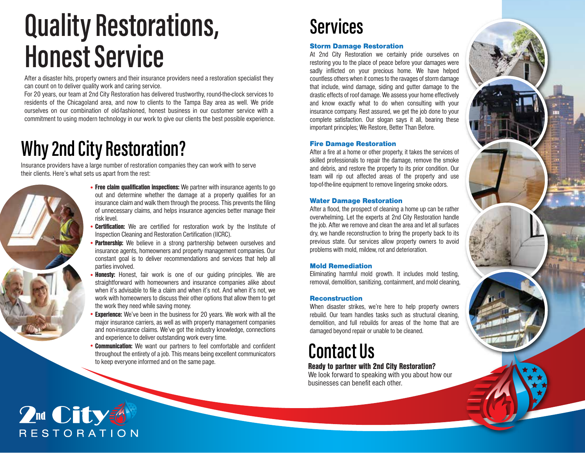# **Quality Restorations, Honest Service**

After a disaster hits, property owners and their insurance providers need a restoration specialist they can count on to deliver quality work and caring service.

For 20 years, our team at 2nd City Restoration has delivered trustworthy, round-the-clock services to residents of the Chicagoland area, and now to clients to the Tampa Bay area as well. We pride ourselves on our combination of old-fashioned, honest business in our customer service with a commitment to using modern technology in our work to give our clients the best possible experience.

### **Why 2nd City Restoration?**

Insurance providers have a large number of restoration companies they can work with to serve their clients. Here's what sets us apart from the rest:



- Free claim qualification inspections: We partner with insurance agents to go and determine without the demonstration for an out and determine whether the damage at a property qualifies for an insurance claim and walk them through the process. This prevents the filing of unnecessary claims, and helps insurance agencies better manage their risk level.
- **Certification:** We are certified for restoration work by the Institute of Inspection Cleaning and Restoration Certification (IICRC).
- **Partnership:** We believe in a strong partnership between ourselves and incurrence contribution between  $\alpha$ insurance agents, homeowners and property management companies. Our constant goal is to deliver recommendations and services that help all parties involved.
- Honesty: Honest, fair work is one of our guiding principles. We are straightforward with homeowners and insurance companies alike about when it's advisable to file a claim and when it's not. And when it's not, we work with homeowners to discuss their other options that allow them to get the work they need while saving money.
- **Experience:** We've been in the business for 20 years. We work with all the major insurance carriers, as well as with property management companies and non-insurance claims. We've got the industry knowledge, connections and experience to deliver outstanding work every time.
- **Communication:** We want our partners to feel comfortable and confident<br>throughout the entirety of a job. This means being excellent communicators<br>to keep everyone informed and on the same page. throughout the entirety of a job. This means being excellent communicators to keep everyone informed and on the same page.

### **Services**

#### Storm Damage Restoration

At 2nd City Restoration we certainly pride ourselves on restoring you to the place of peace before your damages were sadly inflicted on your precious home. We have helped countless others when it comes to the ravages of storm damage that include, wind damage, siding and gutter damage to the drastic effects of roof damage. We assess your home effectively and know exactly what to do when consulting with your insurance company. Rest assured, we get the job done to your complete satisfaction. Our slogan says it all, bearing these important principles; We Restore, Better Than Before.

#### Fire Damage Restoration

After a fire at a home or other property, it takes the services of skilled professionals to repair the damage, remove the smoke and debris, and restore the property to its prior condition. Our team will rip out affected areas of the property and use top-of-the-line equipment to remove lingering smoke odors.

#### Water Damage Restoration

After a flood, the prospect of cleaning a home up can be rather overwhelming. Let the experts at 2nd City Restoration handle the job. After we remove and clean the area and let all surfaces dry, we handle reconstruction to bring the property back to its previous state. Our services allow property owners to avoid problems with mold, mildew, rot and deterioration.

#### Mold Remediation

Eliminating harmful mold growth. It includes mold testing, removal, demolition, sanitizing, containment, and mold cleaning,

#### Reconstruction

When disaster strikes, we're here to help property owners rebuild. Our team handles tasks such as structural cleaning, demolition, and full rebuilds for areas of the home that are damaged beyond repair or unable to be cleaned.

### Ready to partner with 2nd City Restoration?

We look forward to speaking with you about how our businesses can benefit each other.